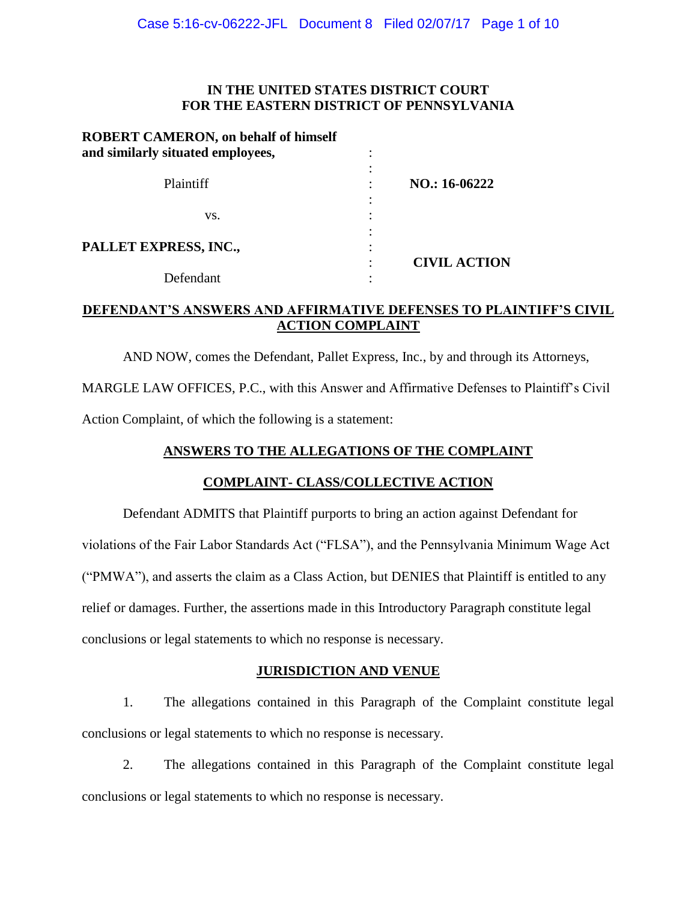## **IN THE UNITED STATES DISTRICT COURT FOR THE EASTERN DISTRICT OF PENNSYLVANIA**

| <b>ROBERT CAMERON, on behalf of himself</b><br>and similarly situated employees, |                     |
|----------------------------------------------------------------------------------|---------------------|
| Plaintiff                                                                        | NO.: 16-06222       |
| VS.                                                                              |                     |
| PALLET EXPRESS, INC.,                                                            | <b>CIVIL ACTION</b> |
| Defendant                                                                        |                     |

# **DEFENDANT'S ANSWERS AND AFFIRMATIVE DEFENSES TO PLAINTIFF'S CIVIL ACTION COMPLAINT**

AND NOW, comes the Defendant, Pallet Express, Inc., by and through its Attorneys,

MARGLE LAW OFFICES, P.C., with this Answer and Affirmative Defenses to Plaintiff's Civil Action Complaint, of which the following is a statement:

# **ANSWERS TO THE ALLEGATIONS OF THE COMPLAINT**

# **COMPLAINT- CLASS/COLLECTIVE ACTION**

Defendant ADMITS that Plaintiff purports to bring an action against Defendant for violations of the Fair Labor Standards Act ("FLSA"), and the Pennsylvania Minimum Wage Act ("PMWA"), and asserts the claim as a Class Action, but DENIES that Plaintiff is entitled to any relief or damages. Further, the assertions made in this Introductory Paragraph constitute legal conclusions or legal statements to which no response is necessary.

# **JURISDICTION AND VENUE**

1. The allegations contained in this Paragraph of the Complaint constitute legal conclusions or legal statements to which no response is necessary.

2. The allegations contained in this Paragraph of the Complaint constitute legal conclusions or legal statements to which no response is necessary.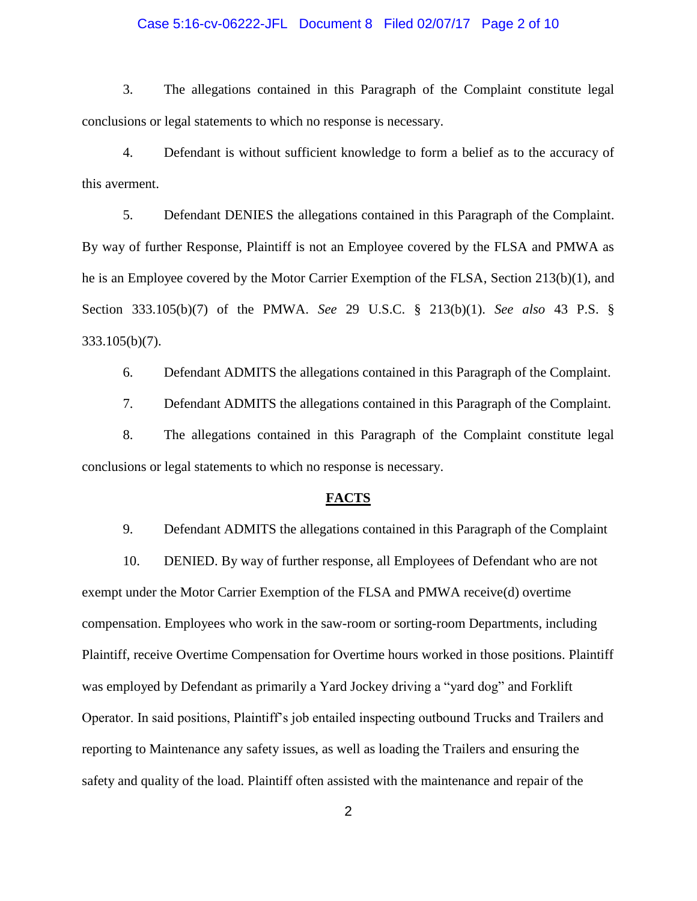# Case 5:16-cv-06222-JFL Document 8 Filed 02/07/17 Page 2 of 10

3. The allegations contained in this Paragraph of the Complaint constitute legal conclusions or legal statements to which no response is necessary.

4. Defendant is without sufficient knowledge to form a belief as to the accuracy of this averment.

5. Defendant DENIES the allegations contained in this Paragraph of the Complaint. By way of further Response, Plaintiff is not an Employee covered by the FLSA and PMWA as he is an Employee covered by the Motor Carrier Exemption of the FLSA, Section 213(b)(1), and Section 333.105(b)(7) of the PMWA. *See* 29 U.S.C. § 213(b)(1). *See also* 43 P.S. § 333.105(b)(7).

6. Defendant ADMITS the allegations contained in this Paragraph of the Complaint.

7. Defendant ADMITS the allegations contained in this Paragraph of the Complaint.

8. The allegations contained in this Paragraph of the Complaint constitute legal conclusions or legal statements to which no response is necessary.

#### **FACTS**

9. Defendant ADMITS the allegations contained in this Paragraph of the Complaint

10. DENIED. By way of further response, all Employees of Defendant who are not exempt under the Motor Carrier Exemption of the FLSA and PMWA receive(d) overtime compensation. Employees who work in the saw-room or sorting-room Departments, including Plaintiff, receive Overtime Compensation for Overtime hours worked in those positions. Plaintiff was employed by Defendant as primarily a Yard Jockey driving a "yard dog" and Forklift Operator. In said positions, Plaintiff's job entailed inspecting outbound Trucks and Trailers and reporting to Maintenance any safety issues, as well as loading the Trailers and ensuring the safety and quality of the load. Plaintiff often assisted with the maintenance and repair of the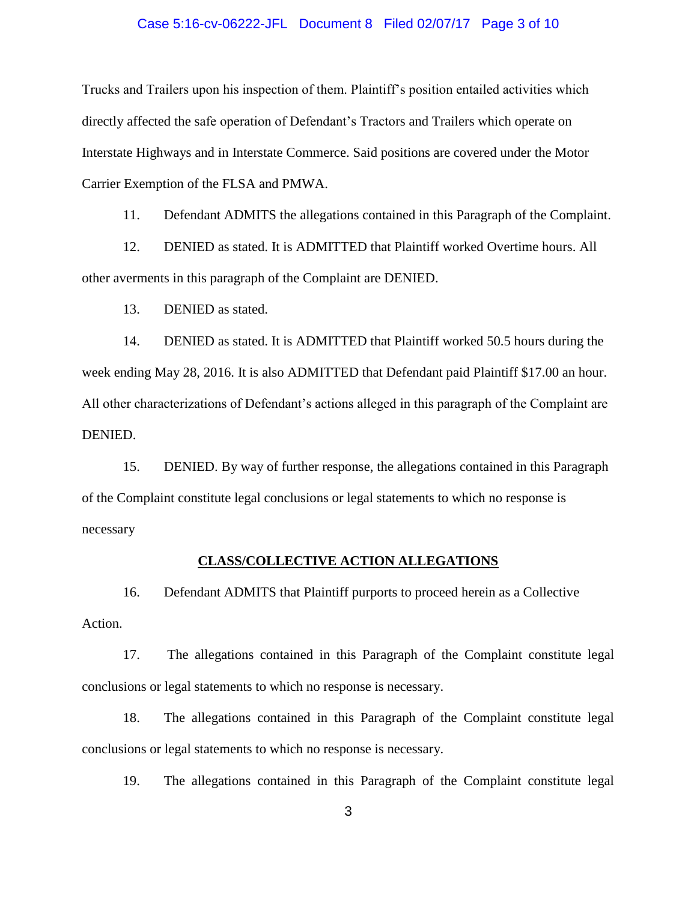#### Case 5:16-cv-06222-JFL Document 8 Filed 02/07/17 Page 3 of 10

Trucks and Trailers upon his inspection of them. Plaintiff's position entailed activities which directly affected the safe operation of Defendant's Tractors and Trailers which operate on Interstate Highways and in Interstate Commerce. Said positions are covered under the Motor Carrier Exemption of the FLSA and PMWA.

11. Defendant ADMITS the allegations contained in this Paragraph of the Complaint.

12. DENIED as stated. It is ADMITTED that Plaintiff worked Overtime hours. All other averments in this paragraph of the Complaint are DENIED.

13. DENIED as stated.

14. DENIED as stated. It is ADMITTED that Plaintiff worked 50.5 hours during the week ending May 28, 2016. It is also ADMITTED that Defendant paid Plaintiff \$17.00 an hour. All other characterizations of Defendant's actions alleged in this paragraph of the Complaint are DENIED.

15. DENIED. By way of further response, the allegations contained in this Paragraph of the Complaint constitute legal conclusions or legal statements to which no response is necessary

#### **CLASS/COLLECTIVE ACTION ALLEGATIONS**

16. Defendant ADMITS that Plaintiff purports to proceed herein as a Collective Action.

17. The allegations contained in this Paragraph of the Complaint constitute legal conclusions or legal statements to which no response is necessary.

18. The allegations contained in this Paragraph of the Complaint constitute legal conclusions or legal statements to which no response is necessary.

19. The allegations contained in this Paragraph of the Complaint constitute legal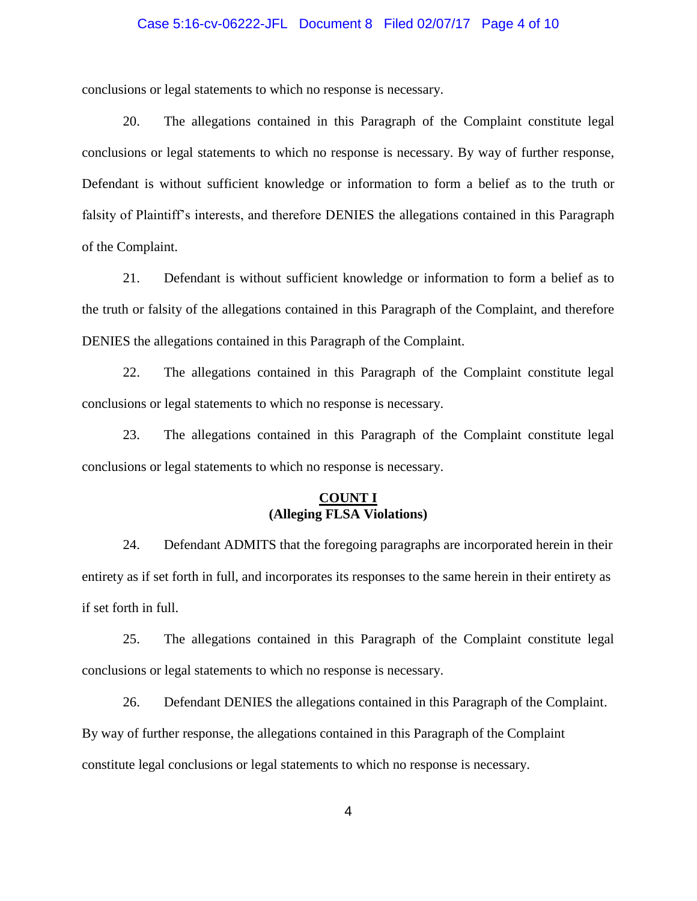#### Case 5:16-cv-06222-JFL Document 8 Filed 02/07/17 Page 4 of 10

conclusions or legal statements to which no response is necessary.

20. The allegations contained in this Paragraph of the Complaint constitute legal conclusions or legal statements to which no response is necessary. By way of further response, Defendant is without sufficient knowledge or information to form a belief as to the truth or falsity of Plaintiff's interests, and therefore DENIES the allegations contained in this Paragraph of the Complaint.

21. Defendant is without sufficient knowledge or information to form a belief as to the truth or falsity of the allegations contained in this Paragraph of the Complaint, and therefore DENIES the allegations contained in this Paragraph of the Complaint.

22. The allegations contained in this Paragraph of the Complaint constitute legal conclusions or legal statements to which no response is necessary.

23. The allegations contained in this Paragraph of the Complaint constitute legal conclusions or legal statements to which no response is necessary.

## **COUNT I (Alleging FLSA Violations)**

24. Defendant ADMITS that the foregoing paragraphs are incorporated herein in their entirety as if set forth in full, and incorporates its responses to the same herein in their entirety as if set forth in full.

25. The allegations contained in this Paragraph of the Complaint constitute legal conclusions or legal statements to which no response is necessary.

26. Defendant DENIES the allegations contained in this Paragraph of the Complaint. By way of further response, the allegations contained in this Paragraph of the Complaint constitute legal conclusions or legal statements to which no response is necessary.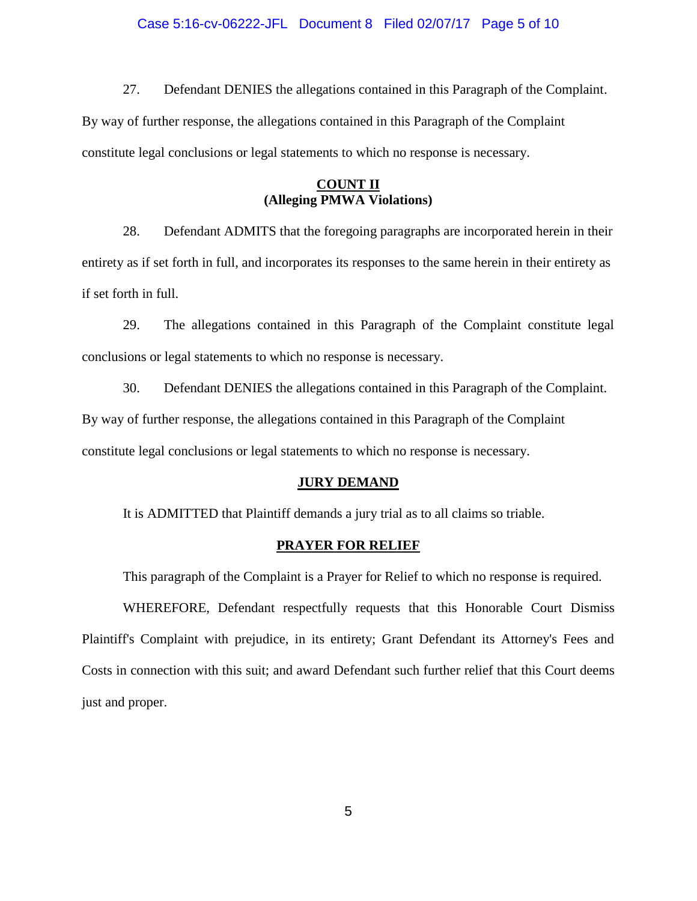#### Case 5:16-cv-06222-JFL Document 8 Filed 02/07/17 Page 5 of 10

27. Defendant DENIES the allegations contained in this Paragraph of the Complaint. By way of further response, the allegations contained in this Paragraph of the Complaint constitute legal conclusions or legal statements to which no response is necessary.

## **COUNT II (Alleging PMWA Violations)**

28. Defendant ADMITS that the foregoing paragraphs are incorporated herein in their entirety as if set forth in full, and incorporates its responses to the same herein in their entirety as if set forth in full.

29. The allegations contained in this Paragraph of the Complaint constitute legal conclusions or legal statements to which no response is necessary.

30. Defendant DENIES the allegations contained in this Paragraph of the Complaint. By way of further response, the allegations contained in this Paragraph of the Complaint constitute legal conclusions or legal statements to which no response is necessary.

## **JURY DEMAND**

It is ADMITTED that Plaintiff demands a jury trial as to all claims so triable.

#### **PRAYER FOR RELIEF**

This paragraph of the Complaint is a Prayer for Relief to which no response is required.

WHEREFORE, Defendant respectfully requests that this Honorable Court Dismiss Plaintiff's Complaint with prejudice, in its entirety; Grant Defendant its Attorney's Fees and Costs in connection with this suit; and award Defendant such further relief that this Court deems just and proper.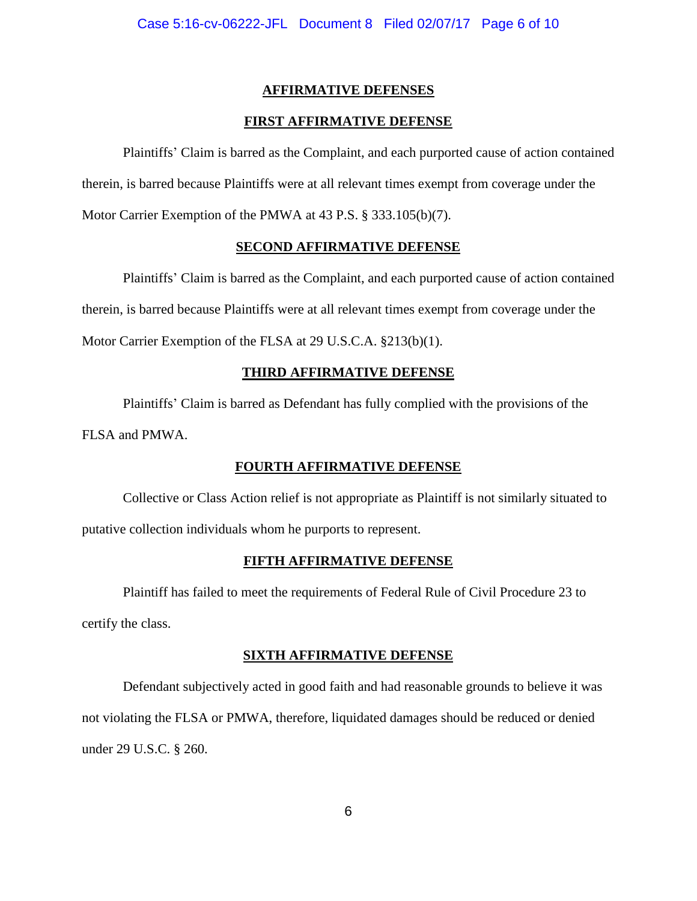# **AFFIRMATIVE DEFENSES**

## **FIRST AFFIRMATIVE DEFENSE**

Plaintiffs' Claim is barred as the Complaint, and each purported cause of action contained therein, is barred because Plaintiffs were at all relevant times exempt from coverage under the Motor Carrier Exemption of the PMWA at 43 P.S. § 333.105(b)(7).

## **SECOND AFFIRMATIVE DEFENSE**

Plaintiffs' Claim is barred as the Complaint, and each purported cause of action contained therein, is barred because Plaintiffs were at all relevant times exempt from coverage under the Motor Carrier Exemption of the FLSA at 29 U.S.C.A. §213(b)(1).

## **THIRD AFFIRMATIVE DEFENSE**

Plaintiffs' Claim is barred as Defendant has fully complied with the provisions of the FLSA and PMWA.

## **FOURTH AFFIRMATIVE DEFENSE**

Collective or Class Action relief is not appropriate as Plaintiff is not similarly situated to putative collection individuals whom he purports to represent.

## **FIFTH AFFIRMATIVE DEFENSE**

Plaintiff has failed to meet the requirements of Federal Rule of Civil Procedure 23 to certify the class.

#### **SIXTH AFFIRMATIVE DEFENSE**

Defendant subjectively acted in good faith and had reasonable grounds to believe it was not violating the FLSA or PMWA, therefore, liquidated damages should be reduced or denied under 29 U.S.C. § 260.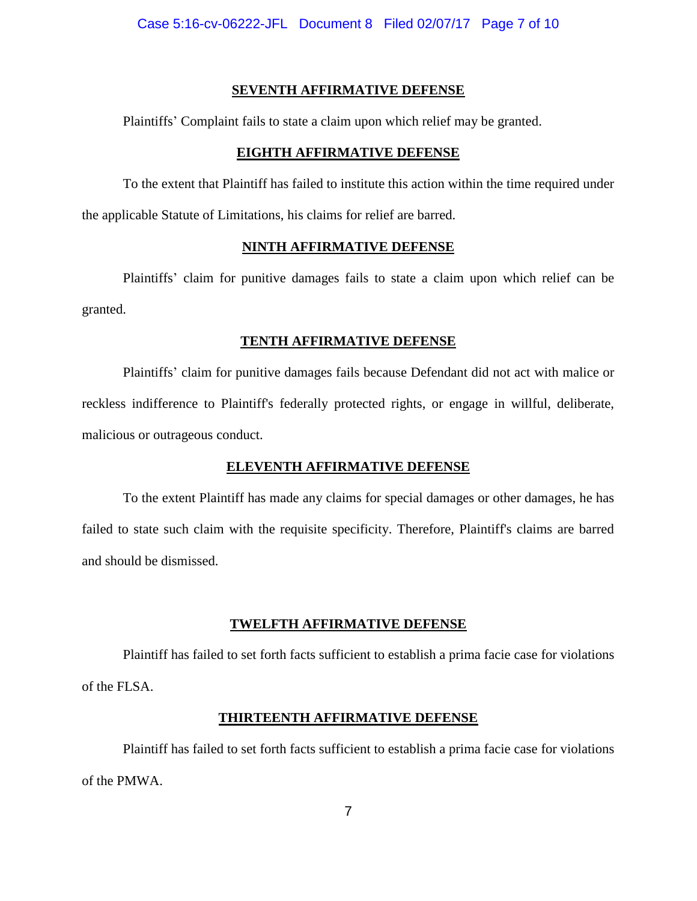### **SEVENTH AFFIRMATIVE DEFENSE**

Plaintiffs' Complaint fails to state a claim upon which relief may be granted.

#### **EIGHTH AFFIRMATIVE DEFENSE**

To the extent that Plaintiff has failed to institute this action within the time required under the applicable Statute of Limitations, his claims for relief are barred.

## **NINTH AFFIRMATIVE DEFENSE**

Plaintiffs' claim for punitive damages fails to state a claim upon which relief can be granted.

## **TENTH AFFIRMATIVE DEFENSE**

Plaintiffs' claim for punitive damages fails because Defendant did not act with malice or reckless indifference to Plaintiff's federally protected rights, or engage in willful, deliberate, malicious or outrageous conduct.

#### **ELEVENTH AFFIRMATIVE DEFENSE**

To the extent Plaintiff has made any claims for special damages or other damages, he has failed to state such claim with the requisite specificity. Therefore, Plaintiff's claims are barred and should be dismissed.

#### **TWELFTH AFFIRMATIVE DEFENSE**

Plaintiff has failed to set forth facts sufficient to establish a prima facie case for violations of the FLSA.

#### **THIRTEENTH AFFIRMATIVE DEFENSE**

Plaintiff has failed to set forth facts sufficient to establish a prima facie case for violations of the PMWA.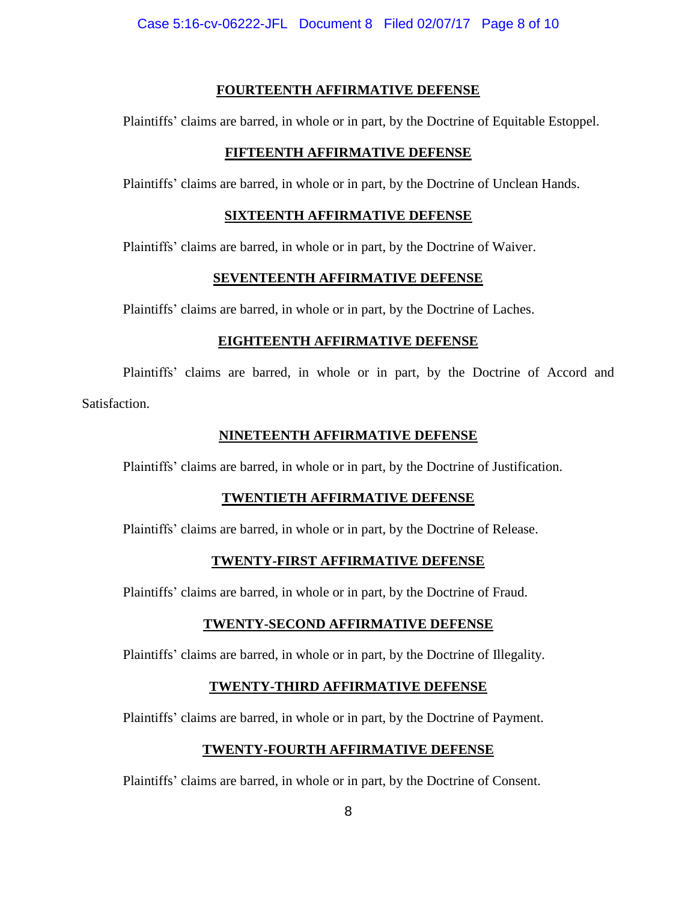## **FOURTEENTH AFFIRMATIVE DEFENSE**

Plaintiffs' claims are barred, in whole or in part, by the Doctrine of Equitable Estoppel.

# **FIFTEENTH AFFIRMATIVE DEFENSE**

Plaintiffs' claims are barred, in whole or in part, by the Doctrine of Unclean Hands.

# **SIXTEENTH AFFIRMATIVE DEFENSE**

Plaintiffs' claims are barred, in whole or in part, by the Doctrine of Waiver.

## **SEVENTEENTH AFFIRMATIVE DEFENSE**

Plaintiffs' claims are barred, in whole or in part, by the Doctrine of Laches.

# **EIGHTEENTH AFFIRMATIVE DEFENSE**

Plaintiffs' claims are barred, in whole or in part, by the Doctrine of Accord and Satisfaction.

# **NINETEENTH AFFIRMATIVE DEFENSE**

Plaintiffs' claims are barred, in whole or in part, by the Doctrine of Justification.

# **TWENTIETH AFFIRMATIVE DEFENSE**

Plaintiffs' claims are barred, in whole or in part, by the Doctrine of Release.

# **TWENTY-FIRST AFFIRMATIVE DEFENSE**

Plaintiffs' claims are barred, in whole or in part, by the Doctrine of Fraud.

# **TWENTY-SECOND AFFIRMATIVE DEFENSE**

Plaintiffs' claims are barred, in whole or in part, by the Doctrine of Illegality.

# **TWENTY-THIRD AFFIRMATIVE DEFENSE**

Plaintiffs' claims are barred, in whole or in part, by the Doctrine of Payment.

# **TWENTY-FOURTH AFFIRMATIVE DEFENSE**

Plaintiffs' claims are barred, in whole or in part, by the Doctrine of Consent.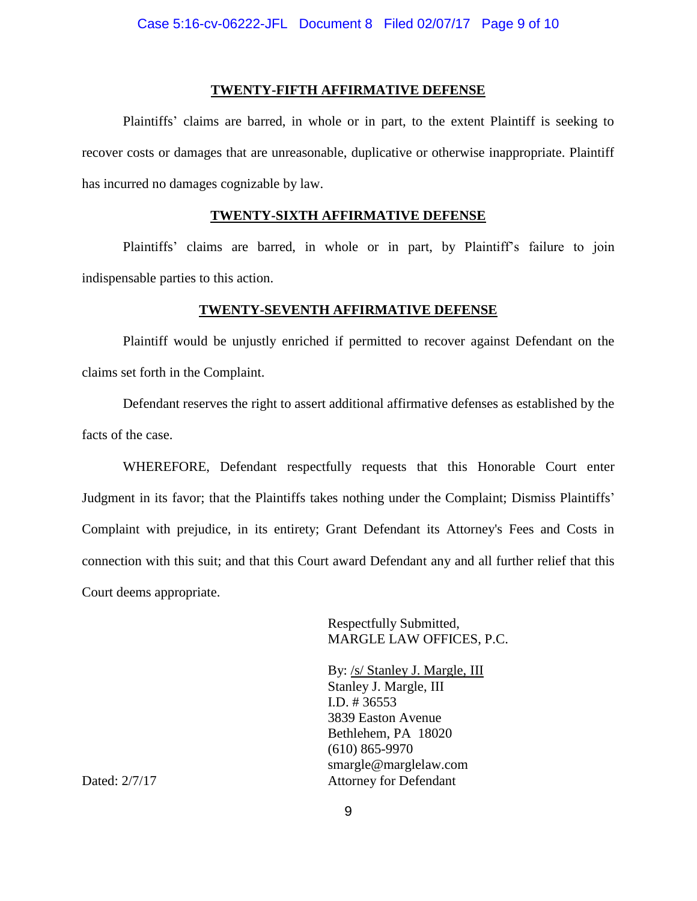#### **TWENTY-FIFTH AFFIRMATIVE DEFENSE**

Plaintiffs' claims are barred, in whole or in part, to the extent Plaintiff is seeking to recover costs or damages that are unreasonable, duplicative or otherwise inappropriate. Plaintiff has incurred no damages cognizable by law.

## **TWENTY-SIXTH AFFIRMATIVE DEFENSE**

Plaintiffs' claims are barred, in whole or in part, by Plaintiff's failure to join indispensable parties to this action.

#### **TWENTY-SEVENTH AFFIRMATIVE DEFENSE**

Plaintiff would be unjustly enriched if permitted to recover against Defendant on the claims set forth in the Complaint.

Defendant reserves the right to assert additional affirmative defenses as established by the facts of the case.

WHEREFORE, Defendant respectfully requests that this Honorable Court enter Judgment in its favor; that the Plaintiffs takes nothing under the Complaint; Dismiss Plaintiffs' Complaint with prejudice, in its entirety; Grant Defendant its Attorney's Fees and Costs in connection with this suit; and that this Court award Defendant any and all further relief that this Court deems appropriate.

> Respectfully Submitted, MARGLE LAW OFFICES, P.C.

By: /s/ Stanley J. Margle, III Stanley J. Margle, III I.D. # 36553 3839 Easton Avenue Bethlehem, PA 18020 (610) 865-9970 smargle@marglelaw.com Dated:  $2/7/17$  Attorney for Defendant

9